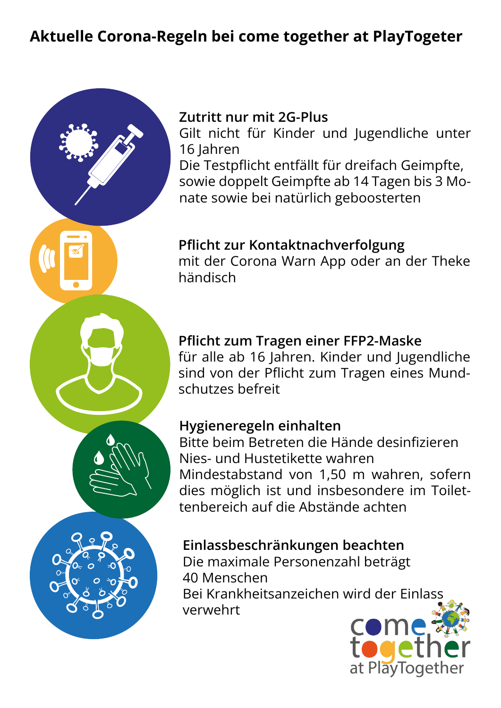# Aktuelle Corona-Regeln bei come together at PlayTogeter



### Zutritt nur mit 2G-Plus

Gilt nicht für Kinder und Jugendliche unter 16 Jahren

Die Testpflicht entfällt für dreifach Geimpfte, sowie doppelt Geimpfte ab 14 Tagen bis 3 Monate sowie bei natürlich geboosterten

## Pflicht zur Kontaktnachverfolgung

mit der Corona Warn App oder an der Theke händisch

## Pflicht zum Tragen einer FFP2-Maske

für alle ab 16 Jahren. Kinder und Jugendliche sind von der Pflicht zum Tragen eines Mundschutzes befreit

## Hygieneregeln einhalten

Bitte beim Betreten die Hände desinfizieren Nies- und Hustetikette wahren Mindestabstand von 1,50 m wahren, sofern dies möglich ist und insbesondere im Toilettenbereich auf die Abstände achten

## Einlassbeschränkungen beachten

Die maximale Personenzahl beträgt 40 Menschen Bei Krankheitsanzeichen wird der Einlass verwehrt

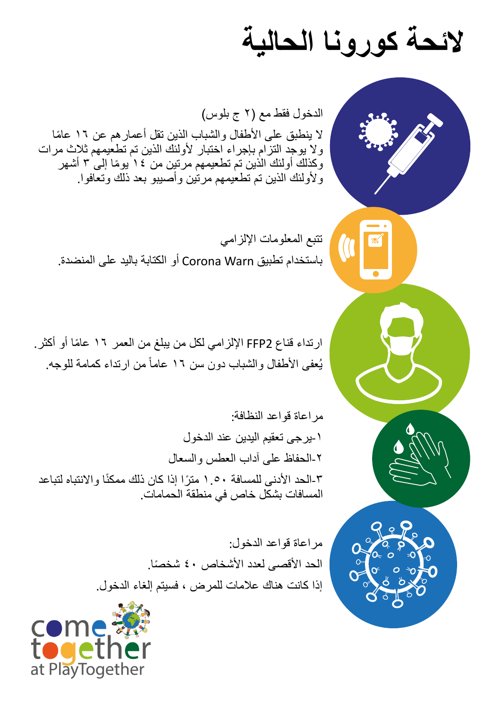# **الئحة كورونا الحالية**

الدخول فقط مع )٢ ج بلوس( لا ينطبق على الأطفال والشباب الذين تقل أعمار هم عن ١٦ عامًا وال يوجد التزام بإجراء اختبار ألولئك الذين تم تطعيمهم ثالث مرات وكذلك أولئك الذين تم تطعيمهم مرتين من ١٤ يومًا إلى ٣ أشهر وألولئك الذين تم تطعيمهم مرتين وأصيبو بعد ذلك وتعافوا.

تتبع المعلومات اإللزامي باستخدام تطبيق Warn Corona أو الكتابة باليد على المنضدة.

ارتداء قناع 2FFP اإللزامي لكل من يبلغ من العمر ١٦ ً عاما أو أكثر. يُعفى الأطفال والشباب دون سن ١٦ عاماً من ارتداء كمامة للوجه.

مراعاة قواعد النظافة: -١يرجى تعقيم اليدين عند الدخول -٢الحفاظ على آداب العطس والسعال ًا واالنتباه لتباعد -٣الحد األدنى للمسافة ١.٥٠ ً مترا إذا كان ذلك ممكن المسافات بشكل خاص في منطقة الحمامات.

> مراعاة قواعد الدخول: الحد الأقصى لعدد الأشخاص ٤٠ شخصًا. إذا كانت هناك عالمات للمرض ، فسيتم إلغاء الدخول.